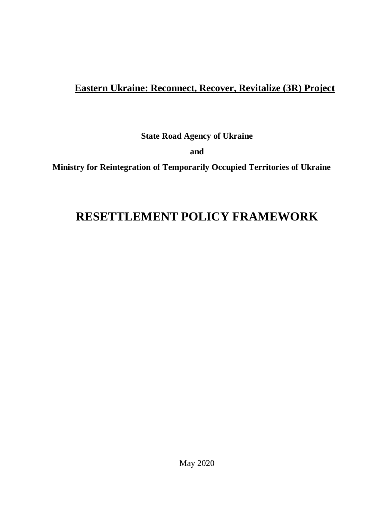# **Eastern Ukraine: Reconnect, Recover, Revitalize (3R) Project**

**State Road Agency of Ukraine** 

**and**

**Ministry for Reintegration of Temporarily Occupied Territories of Ukraine**

# **RESETTLEMENT POLICY FRAMEWORK**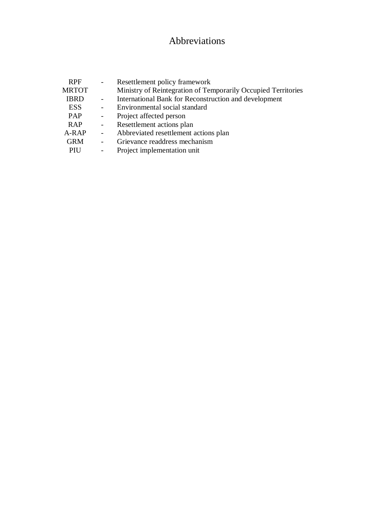# Abbreviations

| <b>RPF</b>   |                          | Resettlement policy framework                                 |
|--------------|--------------------------|---------------------------------------------------------------|
| <b>MRTOT</b> |                          | Ministry of Reintegration of Temporarily Occupied Territories |
| <b>IBRD</b>  |                          | International Bank for Reconstruction and development         |
| <b>ESS</b>   | $\sim$                   | Environmental social standard                                 |
| PAP          | $\sim$                   | Project affected person                                       |
| <b>RAP</b>   | $ \,$                    | Resettlement actions plan                                     |
| A-RAP        | $\sim$ $-$               | Abbreviated resettlement actions plan                         |
| <b>GRM</b>   | $\sim 10^{-10}$          | Grievance readdress mechanism                                 |
| PIU          | $\overline{\phantom{a}}$ | Project implementation unit                                   |
|              |                          |                                                               |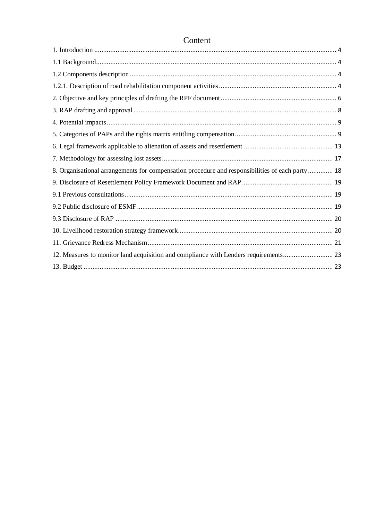| 8. Organisational arrangements for compensation procedure and responsibilities of each party 18 |  |
|-------------------------------------------------------------------------------------------------|--|
|                                                                                                 |  |
|                                                                                                 |  |
|                                                                                                 |  |
|                                                                                                 |  |
|                                                                                                 |  |
|                                                                                                 |  |
| 12. Measures to monitor land acquisition and compliance with Lenders requirements 23            |  |
|                                                                                                 |  |

# Content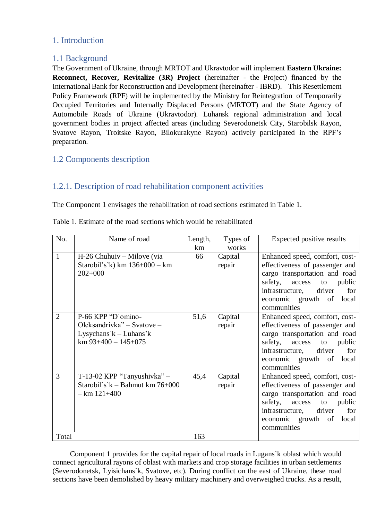# <span id="page-3-0"></span>1. Introduction

# <span id="page-3-1"></span>1.1 Background

The Government of Ukraine, through MRTOT and Ukravtodor will implement **Eastern Ukraine: Reconnect, Recover, Revitalize (3R) Project** (hereinafter - the Project) financed by the International Bank for Reconstruction and Development (hereinafter - IBRD). This Resettlement Policy Framework (RPF) will be implemented by the Ministry for Reintegration of Temporarily Occupied Territories and Internally Displaced Persons (MRTOT) and the State Agency of Automobile Roads of Ukraine (Ukravtodor). Luhansk regional administration and local government bodies in project affected areas (including Severodonetsk City, Starobilsk Rayon, Svatove Rayon, Troitske Rayon, Bilokurakyne Rayon) actively participated in the RPF's preparation.

# <span id="page-3-2"></span>1.2 Components description

# <span id="page-3-3"></span>1.2.1. Description of road rehabilitation component activities

The Component 1 envisages the rehabilitation of road sections estimated in Table 1.

| No.            | Name of road                       | Length, | Types of | Expected positive results         |
|----------------|------------------------------------|---------|----------|-----------------------------------|
|                |                                    | km      | works    |                                   |
| $\mathbf{1}$   | H-26 Chuhuiv – Milove (via         | 66      | Capital  | Enhanced speed, comfort, cost-    |
|                | Starobil's'k) km $136+000 - km$    |         | repair   | effectiveness of passenger and    |
|                | $202+000$                          |         |          | cargo transportation and road     |
|                |                                    |         |          | safety, access<br>public<br>to    |
|                |                                    |         |          | infrastructure, driver<br>for     |
|                |                                    |         |          | economic growth of<br>local       |
|                |                                    |         |          | communities                       |
| $\overline{2}$ | P-66 KPP "D'omino-                 | 51,6    | Capital  | Enhanced speed, comfort, cost-    |
|                | Oleksandrivka" – Svatove –         |         | repair   | effectiveness of passenger and    |
|                | Lysychans' $k$ – Luhans'k          |         |          | cargo transportation and road     |
|                | $km$ 93+400 - 145+075              |         |          | safety, access<br>public<br>to    |
|                |                                    |         |          | infrastructure,<br>driver<br>for  |
|                |                                    |         |          | economic growth of<br>local       |
|                |                                    |         |          | communities                       |
| 3              | T-13-02 KPP "Tanyushivka" $-$      | 45,4    | Capital  | Enhanced speed, comfort, cost-    |
|                | Starobil's' $k -$ Bahmut km 76+000 |         | repair   | effectiveness of passenger and    |
|                | $-$ km $121+400$                   |         |          | cargo transportation and road     |
|                |                                    |         |          | safety,<br>access<br>public<br>to |
|                |                                    |         |          | driver<br>infrastructure,<br>for  |
|                |                                    |         |          | economic growth of<br>local       |
|                |                                    |         |          | communities                       |
| Total          |                                    | 163     |          |                                   |

Тable 1. Estimate of the road sections which would be rehabilitated

Component 1 provides for the capital repair of local roads in Lugans`k oblast which would connect agricultural rayons of oblast with markets and crop storage facilities in urban settlements (Severodonetsk, Lyisichans`k, Svatove, etc). During conflict on the east of Ukraine, these road sections have been demolished by heavy military machinery and overweighed trucks. As a result,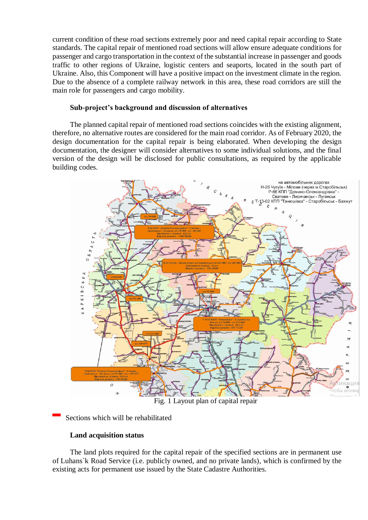current condition of these road sections extremely poor and need capital repair according to State standards. The capital repair of mentioned road sections will allow ensure adequate conditions for passenger and cargo transportation in the context of the substantial increase in passenger and goods traffic to other regions of Ukraine, logistic centers and seaports, located in the south part of Ukraine. Also, this Component will have a positive impact on the investment climate in the region. Due to the absence of a complete railway network in this area, these road corridors are still the main role for passengers and cargo mobility.

#### **Sub-project's background and discussion of alternatives**

The planned capital repair of mentioned road sections coincides with the existing alignment, therefore, no alternative routes are considered for the main road corridor. As of February 2020, the design documentation for the capital repair is being elaborated. When developing the design documentation, the designer will consider alternatives to some individual solutions, and the final version of the design will be disclosed for public consultations, as required by the applicable building codes.



Fig. 1 Layout plan of capital repair

### Sections which will be rehabilitated

### **Land acquisition status**

The land plots required for the capital repair of the specified sections are in permanent use of Luhans`k Road Service (i.e. publicly owned, and no private lands), which is confirmed by the existing acts for permanent use issued by the State Cadastre Authorities.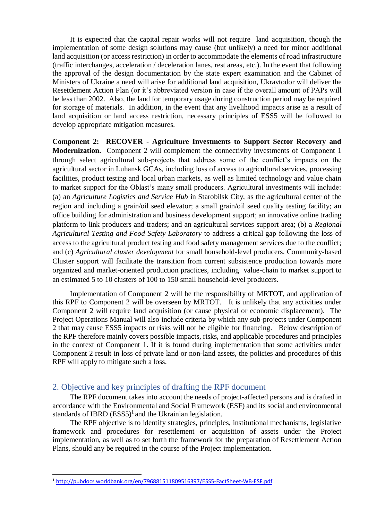It is expected that the capital repair works will not require land acquisition, though the implementation of some design solutions may cause (but unlikely) a need for minor additional land acquisition (or access restriction) in order to accommodate the elements of road infrastructure (traffic interchanges, acceleration / deceleration lanes, rest areas, etc.). In the event that following the approval of the design documentation by the state expert examination and the Cabinet of Ministers of Ukraine a need will arise for additional land acquisition, Ukravtodor will deliver the Resettlement Action Plan (or it's abbreviated version in case if the overall amount of PAPs will be less than 2002. Also, the land for temporary usage during construction period may be required for storage of materials. In addition, in the event that any livelihood impacts arise as a result of land acquisition or land access restriction, necessary principles of ESS5 will be followed to develop appropriate mitigation measures.

**Component 2: RECOVER - Agriculture Investments to Support Sector Recovery and Modernization.** Component 2 will complement the connectivity investments of Component 1 through select agricultural sub-projects that address some of the conflict's impacts on the agricultural sector in Luhansk GCAs, including loss of access to agricultural services, processing facilities, product testing and local urban markets, as well as limited technology and value chain to market support for the Oblast's many small producers. Agricultural investments will include: (a) an *Agriculture Logistics and Service Hub* in Starobilsk City, as the agricultural center of the region and including a grain/oil seed elevator; a small grain/oil seed quality testing facility; an office building for administration and business development support; an innovative online trading platform to link producers and traders; and an agricultural services support area; (b) a *Regional Agricultural Testing and Food Safety Laboratory* to address a critical gap following the loss of access to the agricultural product testing and food safety management services due to the conflict; and (c) *Agricultural cluster development* for small household-level producers. Community-based Cluster support will facilitate the transition from current subsistence production towards more organized and market-oriented production practices, including value-chain to market support to an estimated 5 to 10 clusters of 100 to 150 small household-level producers.

Implementation of Component 2 will be the responsibility of MRTOT, and application of this RPF to Component 2 will be overseen by MRTOT. It is unlikely that any activities under Component 2 will require land acquisition (or cause physical or economic displacement). The Project Operations Manual will also include criteria by which any sub-projects under Component 2 that may cause ESS5 impacts or risks will not be eligible for financing. Below description of the RPF therefore mainly covers possible impacts, risks, and applicable procedures and principles in the context of Component 1. If it is found during implementation that some activities under Component 2 result in loss of private land or non-land assets, the policies and procedures of this RPF will apply to mitigate such a loss.

### <span id="page-5-0"></span>2. Objective and key principles of drafting the RPF document

The RPF document takes into account the needs of project-affected persons and is drafted in accordance with the Environmental and Social Framework (ESF) and its social and environmental standards of IBRD  $(ESS5)^1$  and the Ukrainian legislation.

The RPF objective is to identify strategies, principles, institutional mechanisms, legislative framework and procedures for resettlement or acquisition of assets under the Project implementation, as well as to set forth the framework for the preparation of Resettlement Action Plans, should any be required in the course of the Project implementation.

1

<sup>1</sup> <http://pubdocs.worldbank.org/en/796881511809516397/ESS5-FactSheet-WB-ESF.pdf>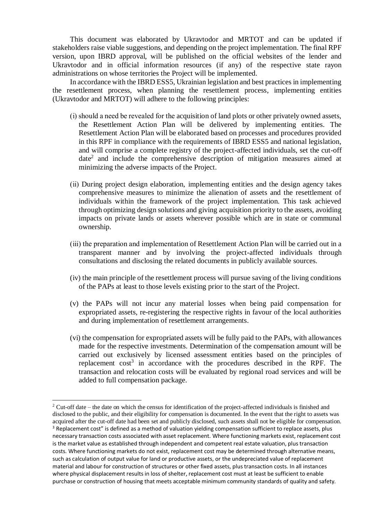This document was elaborated by Ukravtodor and MRTOT and can be updated if stakeholders raise viable suggestions, and depending on the project implementation. The final RPF version, upon IBRD approval, will be published on the official websites of the lender and Ukravtodor and in official information resources (if any) of the respective state rayon administrations on whose territories the Project will be implemented.

In accordance with the IBRD ESS5, Ukrainian legislation and best practices in implementing the resettlement process, when planning the resettlement process, implementing entities (Ukravtodor and MRTOT) will adhere to the following principles:

- (і) should a need be revealed for the acquisition of land plots or other privately owned assets, the Resettlement Action Plan will be delivered by implementing entities. The Resettlement Action Plan will be elaborated based on processes and procedures provided in this RPF in compliance with the requirements of IBRD ESS5 and national legislation, and will comprise a complete registry of the project-affected individuals, set the cut-off date<sup>2</sup> and include the comprehensive description of mitigation measures aimed at minimizing the adverse impacts of the Project.
- (іі) During project design elaboration, implementing entities and the design agency takes comprehensive measures to minimize the alienation of assets and the resettlement of individuals within the framework of the project implementation. This task achieved through optimizing design solutions and giving acquisition priority to the assets, avoiding impacts on private lands or assets wherever possible which are in state or communal ownership.
- (ііі) the preparation and implementation of Resettlement Action Plan will be carried out in a transparent manner and by involving the project-affected individuals through consultations and disclosing the related documents in publicly available sources.
- (iv) the main principle of the resettlement process will pursue saving of the living conditions of the PAPs at least to those levels existing prior to the start of the Project.
- (v) the PAPs will not incur any material losses when being paid compensation for expropriated assets, re-registering the respective rights in favour of the local authorities and during implementation of resettlement arrangements.
- (vi) the compensation for expropriated assets will be fully paid to the PAPs, with allowances made for the respective investments. Determination of the compensation amount will be carried out exclusively by licensed assessment entities based on the principles of replacement  $\cos^3$  in accordance with the procedures described in the RPF. The transaction and relocation costs will be evaluated by regional road services and will be added to full compensation package.

 $\ddot{\phantom{a}}$ 

 $2$  Cut-off date – the date on which the census for identification of the project-affected individuals is finished and disclosed to the public, and their eligibility for compensation is documented. In the event that the right to assets was acquired after the cut-off date had been set and publicly disclosed, such assets shall not be eligible for compensation. <sup>3</sup> Replacement cost" is defined as a method of valuation yielding compensation sufficient to replace assets, plus necessary transaction costs associated with asset replacement. Where functioning markets exist, replacement cost is the market value as established through independent and competent real estate valuation, plus transaction costs. Where functioning markets do not exist, replacement cost may be determined through alternative means, such as calculation of output value for land or productive assets, or the undepreciated value of replacement material and labour for construction of structures or other fixed assets, plus transaction costs. In all instances where physical displacement results in loss of shelter, replacement cost must at least be sufficient to enable purchase or construction of housing that meets acceptable minimum community standards of quality and safety.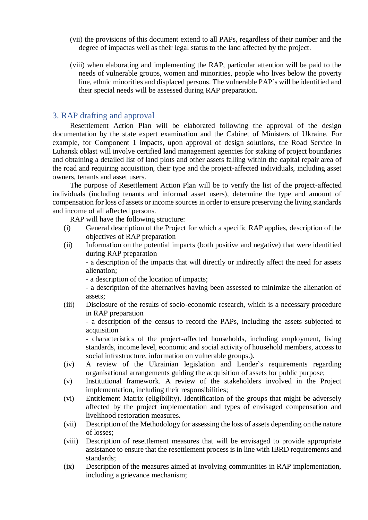- (vii) the provisions of this document extend to all PAPs, regardless of their number and the degree of impactas well as their legal status to the land affected by the project.
- (viii) when elaborating and implementing the RAP, particular attention will be paid to the needs of vulnerable groups, women and minorities, people who lives below the poverty line, ethnic minorities and displaced persons. The vulnerable PAP`s will be identified and their special needs will be assessed during RAP preparation.

### <span id="page-7-0"></span>3. RAP drafting and approval

Resettlement Action Plan will be elaborated following the approval of the design documentation by the state expert examination and the Cabinet of Ministers of Ukraine. For example, for Component 1 impacts, upon approval of design solutions, the Road Service in Luhansk oblast will involve certified land management agencies for staking of project boundaries and obtaining a detailed list of land plots and other assets falling within the capital repair area of the road and requiring acquisition, their type and the project-affected individuals, including asset owners, tenants and asset users.

The purpose of Resettlement Action Plan will be to verify the list of the project-affected individuals (including tenants and informal asset users), determine the type and amount of compensation for loss of assets or income sources in order to ensure preserving the living standards and income of all affected persons.

RAP will have the following structure:

- (i) General description of the Project for which a specific RAP applies, description of the objectives of RAP preparation
- (ii) Information on the potential impacts (both positive and negative) that were identified during RAP preparation

- a description of the impacts that will directly or indirectly affect the need for assets alienation;

- a description of the location of impacts;
- a description of the alternatives having been assessed to minimize the alienation of assets;
- (iii) Disclosure of the results of socio-economic research, which is a necessary procedure in RAP preparation

- a description of the census to record the PAPs, including the assets subjected to acquisition

- characteristics of the project-affected households, including employment, living standards, income level, economic and social activity of household members, access to social infrastructure, information on vulnerable groups.).

- (iv) A review of the Ukrainian legislation and Lender`s requirements regarding organisational arrangements guiding the acquisition of assets for public purpose;
- (v) Institutional framework. A review of the stakeholders involved in the Project implementation, including their responsibilities;
- (vi) Entitlement Matrix (eligibility). Identification of the groups that might be adversely affected by the project implementation and types of envisaged compensation and livelihood restoration measures.
- (vii) Description of the Methodology for assessing the loss of assets depending on the nature of losses;
- (viii) Description of resettlement measures that will be envisaged to provide appropriate assistance to ensure that the resettlement process is in line with IBRD requirements and standards;
- (ix) Description of the measures aimed at involving communities in RAP implementation, including a grievance mechanism;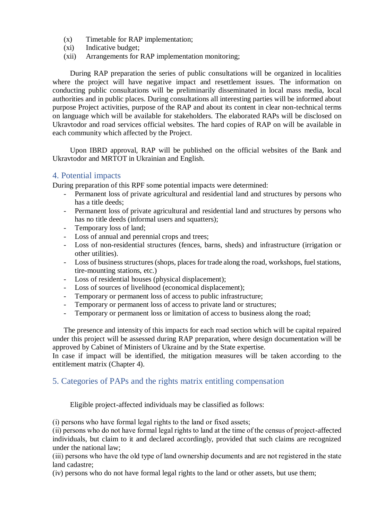- (x) Timetable for RAP implementation;
- (xi) Indicative budget;
- (xii) Arrangements for RAP implementation monitoring;

During RAP preparation the series of public consultations will be organized in localities where the project will have negative impact and resettlement issues. The information on conducting public consultations will be preliminarily disseminated in local mass media, local authorities and in public places. During consultations all interesting parties will be informed about purpose Project activities, purpose of the RAP and about its content in clear non-technical terms on language which will be available for stakeholders. The elaborated RAPs will be disclosed on Ukravtodor and road services official websites. The hard copies of RAP on will be available in each community which affected by the Project.

Upon IBRD approval, RAP will be published on the official websites of the Bank and Ukravtodor and MRTOT in Ukrainian and English.

## <span id="page-8-0"></span>4. Potential impacts

During preparation of this RPF some potential impacts were determined:

- Permanent loss of private agricultural and residential land and structures by persons who has a title deeds;
- Permanent loss of private agricultural and residential land and structures by persons who has no title deeds (informal users and squatters);
- Temporary loss of land;
- Loss of annual and perennial crops and trees;
- Loss of non-residential structures (fences, barns, sheds) and infrastructure (irrigation or other utilities).
- Loss of business structures (shops, places for trade along the road, workshops, fuel stations, tire-mounting stations, etc.)
- Loss of residential houses (physical displacement);
- Loss of sources of livelihood (economical displacement);
- Temporary or permanent loss of access to public infrastructure;
- Temporary or permanent loss of access to private land or structures;
- Temporary or permanent loss or limitation of access to business along the road;

The presence and intensity of this impacts for each road section which will be capital repaired under this project will be assessed during RAP preparation, where design documentation will be approved by Cabinet of Ministers of Ukraine and by the State expertise.

In case if impact will be identified, the mitigation measures will be taken according to the entitlement matrix (Chapter 4).

# <span id="page-8-1"></span>5. Categories of PAPs and the rights matrix entitling compensation

Eligible project-affected individuals may be classified as follows:

(і) persons who have formal legal rights to the land or fixed assets;

(іі) persons who do not have formal legal rights to land at the time of the census of project-affected individuals, but claim to it and declared accordingly, provided that such claims are recognized under the national law;

(ііі) persons who have the old type of land ownership documents and are not registered in the state land cadastre;

(iv) persons who do not have formal legal rights to the land or other assets, but use them;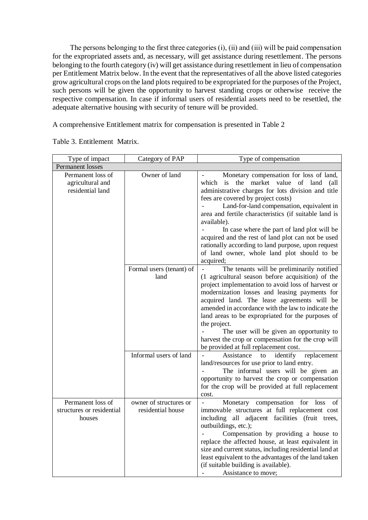The persons belonging to the first three categories (i), (ii) and (iii) will be paid compensation for the expropriated assets and, as necessary, will get assistance during resettlement. The persons belonging to the fourth category (iv) will get assistance during resettlement in lieu of compensation per Entitlement Matrix below. In the event that the representatives of all the above listed categories grow agricultural crops on the land plots required to be expropriated for the purposes of the Project, such persons will be given the opportunity to harvest standing crops or otherwise receive the respective compensation. In case if informal users of residential assets need to be resettled, the adequate alternative housing with security of tenure will be provided.

A comprehensive Entitlement matrix for compensation is presented in Table 2

| Type of impact                                            | Category of PAP                                            | Type of compensation                                                                                                                                                                                                                                                                                                                                                                                                                                                                                                                     |  |
|-----------------------------------------------------------|------------------------------------------------------------|------------------------------------------------------------------------------------------------------------------------------------------------------------------------------------------------------------------------------------------------------------------------------------------------------------------------------------------------------------------------------------------------------------------------------------------------------------------------------------------------------------------------------------------|--|
| Permanent losses                                          |                                                            |                                                                                                                                                                                                                                                                                                                                                                                                                                                                                                                                          |  |
| Permanent loss of<br>agricultural and<br>residential land | Owner of land                                              | Monetary compensation for loss of land,<br>the market<br>value<br>of land<br>which<br>is<br>(all<br>administrative charges for lots division and title<br>fees are covered by project costs)<br>Land-for-land compensation, equivalent in<br>area and fertile characteristics (if suitable land is<br>available).<br>In case where the part of land plot will be<br>acquired and the rest of land plot can not be used<br>rationally according to land purpose, upon request<br>of land owner, whole land plot should to be              |  |
|                                                           | Formal users (tenant) of<br>land<br>Informal users of land | acquired;<br>The tenants will be preliminarily notified<br>(1 agricultural season before acquisition) of the<br>project implementation to avoid loss of harvest or<br>modernization losses and leasing payments for<br>acquired land. The lease agreements will be<br>amended in accordance with the law to indicate the<br>land areas to be expropriated for the purposes of<br>the project.<br>The user will be given an opportunity to<br>harvest the crop or compensation for the crop will<br>be provided at full replacement cost. |  |
|                                                           |                                                            | to identify<br>Assistance<br>replacement<br>land/resources for use prior to land entry.<br>The informal users will be given an<br>opportunity to harvest the crop or compensation<br>for the crop will be provided at full replacement<br>cost.                                                                                                                                                                                                                                                                                          |  |
| Permanent loss of<br>structures or residential<br>houses  | owner of structures or<br>residential house                | Monetary compensation for loss<br>of<br>immovable structures at full replacement cost<br>including all adjacent facilities (fruit trees,<br>outbuildings, etc.);<br>Compensation by providing a house to<br>replace the affected house, at least equivalent in<br>size and current status, including residential land at<br>least equivalent to the advantages of the land taken<br>(if suitable building is available).<br>Assistance to move;                                                                                          |  |

Тable 3. Entitlement Matrix.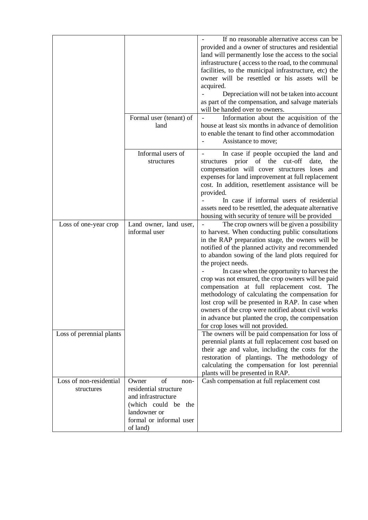|                                                   | Formal user (tenant) of<br>land                                                                                                                  | If no reasonable alternative access can be<br>provided and a owner of structures and residential<br>land will permanently lose the access to the social<br>infrastructure (access to the road, to the communal<br>facilities, to the municipal infrastructure, etc) the<br>owner will be resettled or his assets will be<br>acquired.<br>Depreciation will not be taken into account<br>as part of the compensation, and salvage materials<br>will be handed over to owners.<br>Information about the acquisition of the<br>house at least six months in advance of demolition<br>to enable the tenant to find other accommodation<br>Assistance to move;                                                                                                                                             |
|---------------------------------------------------|--------------------------------------------------------------------------------------------------------------------------------------------------|-------------------------------------------------------------------------------------------------------------------------------------------------------------------------------------------------------------------------------------------------------------------------------------------------------------------------------------------------------------------------------------------------------------------------------------------------------------------------------------------------------------------------------------------------------------------------------------------------------------------------------------------------------------------------------------------------------------------------------------------------------------------------------------------------------|
|                                                   | Informal users of<br>structures                                                                                                                  | In case if people occupied the land and<br>structures prior of the<br>cut-off<br>date,<br>the<br>compensation will cover structures loses and<br>expenses for land improvement at full replacement<br>cost. In addition, resettlement assistance will be<br>provided.<br>In case if informal users of residential<br>assets need to be resettled, the adequate alternative<br>housing with security of tenure will be provided                                                                                                                                                                                                                                                                                                                                                                        |
| Loss of one-year crop<br>Loss of perennial plants | Land owner, land user,<br>informal user                                                                                                          | The crop owners will be given a possibility<br>to harvest. When conducting public consultations<br>in the RAP preparation stage, the owners will be<br>notified of the planned activity and recommended<br>to abandon sowing of the land plots required for<br>the project needs.<br>In case when the opportunity to harvest the<br>crop was not ensured, the crop owners will be paid<br>compensation at full replacement cost. The<br>methodology of calculating the compensation for<br>lost crop will be presented in RAP. In case when<br>owners of the crop were notified about civil works<br>in advance but planted the crop, the compensation<br>for crop loses will not provided.<br>The owners will be paid compensation for loss of<br>perennial plants at full replacement cost based on |
|                                                   |                                                                                                                                                  | their age and value, including the costs for the<br>restoration of plantings. The methodology of<br>calculating the compensation for lost perennial<br>plants will be presented in RAP.                                                                                                                                                                                                                                                                                                                                                                                                                                                                                                                                                                                                               |
| Loss of non-residential<br>structures             | of<br>Owner<br>non-<br>residential structure<br>and infrastructure<br>(which could be the<br>landowner or<br>formal or informal user<br>of land) | Cash compensation at full replacement cost                                                                                                                                                                                                                                                                                                                                                                                                                                                                                                                                                                                                                                                                                                                                                            |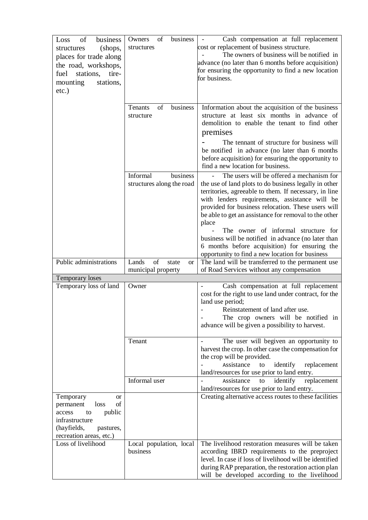| of<br>Loss<br>business<br>(shops,<br>structures<br>places for trade along<br>the road, workshops,<br>fuel<br>stations,<br>tire-<br>mounting<br>stations,<br>$etc.$ ) | of<br>business<br>Owners<br>structures                  | Cash compensation at full replacement<br>cost or replacement of business structure.<br>The owners of business will be notified in<br>advance (no later than 6 months before acquisition)<br>for ensuring the opportunity to find a new location<br>for business.                                                                                                                                                                                                                                                                       |
|----------------------------------------------------------------------------------------------------------------------------------------------------------------------|---------------------------------------------------------|----------------------------------------------------------------------------------------------------------------------------------------------------------------------------------------------------------------------------------------------------------------------------------------------------------------------------------------------------------------------------------------------------------------------------------------------------------------------------------------------------------------------------------------|
|                                                                                                                                                                      | of<br>business<br>Tenants<br>structure                  | Information about the acquisition of the business<br>structure at least six months in advance of<br>demolition to enable the tenant to find other<br>premises<br>The tennant of structure for business will<br>be notified in advance (no later than 6 months<br>before acquisition) for ensuring the opportunity to<br>find a new location for business.                                                                                                                                                                              |
|                                                                                                                                                                      | Informal<br>business<br>structures along the road       | The users will be offered a mechanism for<br>the use of land plots to do business legally in other<br>territories, agreeable to them. If necessary, in line<br>with lenders requirements, assistance will be<br>provided for business relocation. These users will<br>be able to get an assistance for removal to the other<br>place<br>The owner of informal structure for<br>business will be notified in advance (no later than<br>6 months before acquisition) for ensuring the<br>opportunity to find a new location for business |
| Public administrations                                                                                                                                               | of<br>Lands<br>state<br><b>or</b><br>municipal property | The land will be transferred to the permanent use<br>of Road Services without any compensation                                                                                                                                                                                                                                                                                                                                                                                                                                         |
| Temporary loses                                                                                                                                                      |                                                         |                                                                                                                                                                                                                                                                                                                                                                                                                                                                                                                                        |
| Temporary loss of land                                                                                                                                               | Owner                                                   | Cash compensation at full replacement<br>cost for the right to use land under contract, for the<br>land use period;<br>Reinstatement of land after use.<br>The crop owners will be notified in<br>advance will be given a possibility to harvest.                                                                                                                                                                                                                                                                                      |
|                                                                                                                                                                      | Tenant                                                  | The user will begiven an opportunity to<br>harvest the crop. In other case the compensation for<br>the crop will be provided.<br>Assistance<br>identify<br>replacement<br>to<br>land/resources for use prior to land entry.                                                                                                                                                                                                                                                                                                            |
|                                                                                                                                                                      | Informal user                                           | Assistance<br>identify<br>replacement<br>to<br>land/resources for use prior to land entry.                                                                                                                                                                                                                                                                                                                                                                                                                                             |
| Temporary<br><b>or</b><br>of<br>loss<br>permanent<br>public<br>access<br>to<br>infrastructure<br>(hayfields,<br>pastures,<br>recreation areas, etc.)                 |                                                         | Creating alternative access routes to these facilities                                                                                                                                                                                                                                                                                                                                                                                                                                                                                 |
| Loss of livelihood                                                                                                                                                   | Local population, local<br>business                     | The livelihood restoration measures will be taken<br>according IBRD requirements to the preproject<br>level. In case if loss of livelihood will be identified<br>during RAP preparation, the restoration action plan<br>will be developed according to the livelihood                                                                                                                                                                                                                                                                  |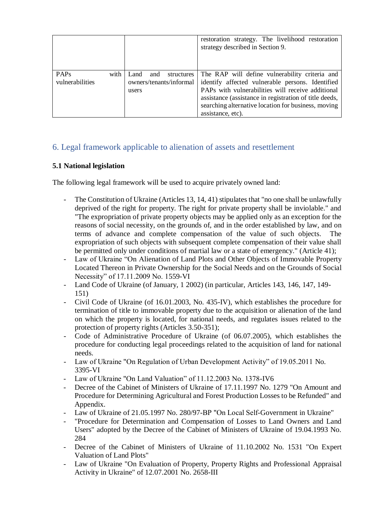|                                     |      |                                                               | restoration strategy. The livelihood restoration<br>strategy described in Section 9.                                                                                                                                                                                                          |
|-------------------------------------|------|---------------------------------------------------------------|-----------------------------------------------------------------------------------------------------------------------------------------------------------------------------------------------------------------------------------------------------------------------------------------------|
| PAP <sub>s</sub><br>vulnerabilities | with | Land<br>structures<br>and<br>owners/tenants/informal<br>users | The RAP will define vulnerability criteria and<br>identify affected vulnerable persons. Identified<br>PAPs with vulnerabilities will receive additional<br>assistance (assistance in registration of title deeds,<br>searching alternative location for business, moving<br>assistance, etc). |

# <span id="page-12-0"></span>6. Legal framework applicable to alienation of assets and resettlement

## **5.1 National legislation**

The following legal framework will be used to acquire privately owned land:

- The Constitution of Ukraine (Articles 13, 14, 41) stipulates that "no one shall be unlawfully deprived of the right for property. The right for private property shall be inviolable." and "The expropriation of private property objects may be applied only as an exception for the reasons of social necessity, on the grounds of, and in the order established by law, and on terms of advance and complete compensation of the value of such objects. expropriation of such objects with subsequent complete compensation of their value shall be permitted only under conditions of martial law or a state of emergency." (Article 41);
- Law of Ukraine "On Alienation of Land Plots and Other Objects of Immovable Property Located Thereon in Private Ownership for the Social Needs and on the Grounds of Social Necessity" of 17.11.2009 No. 1559-VI
- Land Code of Ukraine (of January, 1 2002) (in particular, Articles 143, 146, 147, 149- 151)
- Civil Code of Ukraine (of 16.01.2003, No. 435-IV), which establishes the procedure for termination of title to immovable property due to the acquisition or alienation of the land on which the property is located, for national needs, and regulates issues related to the protection of property rights (Articles 3.50-351);
- Code of Administrative Procedure of Ukraine (of 06.07.2005), which establishes the procedure for conducting legal proceedings related to the acquisition of land for national needs.
- Law of Ukraine "On Regulation of Urban Development Activity" of 19.05.2011 No. 3395-VI
- Law of Ukraine "On Land Valuation" of 11.12.2003 No. 1378-IV6
- Decree of the Cabinet of Ministers of Ukraine of 17.11.1997 No. 1279 "On Amount and Procedure for Determining Agricultural and Forest Production Losses to be Refunded" and Appendix.
- Law of Ukraine of 21.05.1997 No. 280/97-BP "On Local Self-Government in Ukraine"
- "Procedure for Determination and Compensation of Losses to Land Owners and Land Users" adopted by the Decree of the Cabinet of Ministers of Ukraine of 19.04.1993 No. 284
- Decree of the Cabinet of Ministers of Ukraine of 11.10.2002 No. 1531 "On Expert Valuation of Land Plots"
- Law of Ukraine "On Evaluation of Property, Property Rights and Professional Appraisal Activity in Ukraine" of 12.07.2001 No. 2658-ІІІ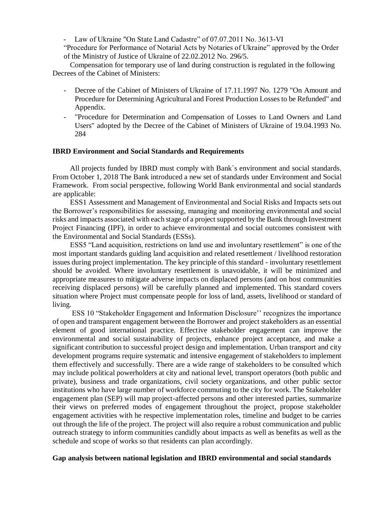Law of Ukraine "On State Land Cadastre" of 07.07.2011 No. 3613-VI

"Procedure for Performance of Notarial Acts by Notaries of Ukraine" approved by the Order of the Ministry of Justice of Ukraine of 22.02.2012 No. 296/5.

Compensation for temporary use of land during construction is regulated in the following Decrees of the Cabinet of Ministers:

- Decree of the Cabinet of Ministers of Ukraine of 17.11.1997 No. 1279 "On Amount and Procedure for Determining Agricultural and Forest Production Losses to be Refunded" and Appendix.
- "Procedure for Determination and Compensation of Losses to Land Owners and Land Users" adopted by the Decree of the Cabinet of Ministers of Ukraine of 19.04.1993 No. 284

#### **IBRD Environment and Social Standards and Requirements**

All projects funded by IBRD must comply with Bank`s environment and social standards. From October 1, 2018 The Bank introduced a new set of standards under Environment and Social Framework. From social perspective, following World Bank environmental and social standards are applicable:

ESS1 Assessment and Management of Environmental and Social Risks and Impacts sets out the Borrower's responsibilities for assessing, managing and monitoring environmental and social risks and impacts associated with each stage of a project supported by the Bank through Investment Project Financing (IPF), in order to achieve environmental and social outcomes consistent with the Environmental and Social Standards (ESSs).

ESS5 "Land acquisition, restrictions on land use and involuntary resettlement" is one of the most important standards guiding land acquisition and related resettlement / livelihood restoration issues during project implementation. The key principle of this standard - involuntary resettlement should be avoided. Where involuntary resettlement is unavoidable, it will be minimized and appropriate measures to mitigate adverse impacts on displaced persons (and on host communities receiving displaced persons) will be carefully planned and implemented. This standard covers situation where Project must compensate people for loss of land, assets, livelihood or standard of living.

ESS 10 "Stakeholder Engagement and Information Disclosure'' recognizes the importance of open and transparent engagement between the Borrower and project stakeholders as an essential element of good international practice. Effective stakeholder engagement can improve the environmental and social sustainability of projects, enhance project acceptance, and make a significant contribution to successful project design and implementation. Urban transport and city development programs require systematic and intensive engagement of stakeholders to implement them effectively and successfully. There are a wide range of stakeholders to be consulted which may include political powerholders at city and national level, transport operators (both public and private), business and trade organizations, civil society organizations, and other public sector institutions who have large number of workforce commuting to the city for work. The Stakeholder engagement plan (SEP) will map project-affected persons and other interested parties, summarize their views on preferred modes of engagement throughout the project, propose stakeholder engagement activities with he respective implementation roles, timeline and budget to be carries out through the life of the project. The project will also require a robust communication and public outreach strategy to inform communities candidly about impacts as well as benefits as well as the schedule and scope of works so that residents can plan accordingly.

#### **Gap analysis between national legislation and IBRD environmental and social standards**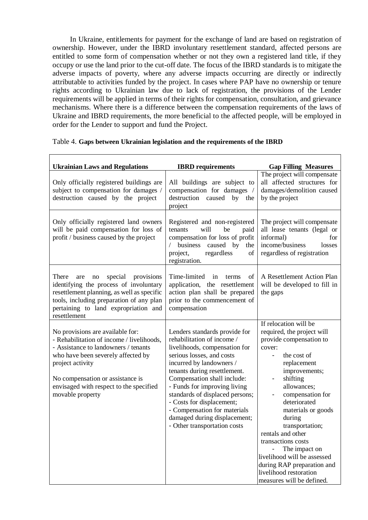In Ukraine, entitlements for payment for the exchange of land are based on registration of ownership. However, under the IBRD involuntary resettlement standard, affected persons are entitled to some form of compensation whether or not they own a registered land title, if they occupy or use the land prior to the cut-off date. The focus of the IBRD standards is to mitigate the adverse impacts of poverty, where any adverse impacts occurring are directly or indirectly attributable to activities funded by the project. In cases where PAP have no ownership or tenure rights according to Ukrainian law due to lack of registration, the provisions of the Lender requirements will be applied in terms of their rights for compensation, consultation, and grievance mechanisms. Where there is a difference between the compensation requirements of the laws of Ukraine and IBRD requirements, the more beneficial to the affected people, will be employed in order for the Lender to support and fund the Project.

| <b>Ukrainian Laws and Regulations</b>                                                                                                                                                                                                                                              | <b>IBRD</b> requirements                                                                                                                                                                                                                                                                                                                                                                                             | <b>Gap Filling Measures</b>                                                                                                                                                                                                                                                                                                                                                                                                                                                |
|------------------------------------------------------------------------------------------------------------------------------------------------------------------------------------------------------------------------------------------------------------------------------------|----------------------------------------------------------------------------------------------------------------------------------------------------------------------------------------------------------------------------------------------------------------------------------------------------------------------------------------------------------------------------------------------------------------------|----------------------------------------------------------------------------------------------------------------------------------------------------------------------------------------------------------------------------------------------------------------------------------------------------------------------------------------------------------------------------------------------------------------------------------------------------------------------------|
| Only officially registered buildings are<br>subject to compensation for damages /<br>destruction caused by the project                                                                                                                                                             | All buildings are subject to<br>compensation for damages /<br>destruction<br>caused<br>by<br>the<br>project                                                                                                                                                                                                                                                                                                          | The project will compensate<br>all affected structures for<br>damages/demolition caused<br>by the project                                                                                                                                                                                                                                                                                                                                                                  |
| Only officially registered land owners<br>will be paid compensation for loss of<br>profit / business caused by the project                                                                                                                                                         | Registered and non-registered<br>will<br>be<br>tenants<br>paid<br>compensation for loss of profit<br>/ business<br>caused by<br>the<br>regardless<br>of<br>project,<br>registration.                                                                                                                                                                                                                                 | The project will compensate<br>all lease tenants (legal or<br>informal)<br>for<br>income/business<br>losses<br>regardless of registration                                                                                                                                                                                                                                                                                                                                  |
| There<br>special<br>provisions<br>are<br>no<br>identifying the process of involuntary<br>resettlement planning, as well as specific<br>tools, including preparation of any plan<br>pertaining to land expropriation and<br>resettlement                                            | Time-limited<br>in<br>of<br>terms<br>application, the resettlement<br>action plan shall be prepared<br>prior to the commencement of<br>compensation                                                                                                                                                                                                                                                                  | A Resettlement Action Plan<br>will be developed to fill in<br>the gaps                                                                                                                                                                                                                                                                                                                                                                                                     |
| No provisions are available for:<br>- Rehabilitation of income / livelihoods,<br>- Assistance to landowners / tenants<br>who have been severely affected by<br>project activity<br>No compensation or assistance is<br>envisaged with respect to the specified<br>movable property | Lenders standards provide for<br>rehabilitation of income /<br>livelihoods, compensation for<br>serious losses, and costs<br>incurred by landowners /<br>tenants during resettlement.<br>Compensation shall include:<br>- Funds for improving living<br>standards of displaced persons;<br>- Costs for displacement;<br>- Compensation for materials<br>damaged during displacement;<br>- Other transportation costs | If relocation will be<br>required, the project will<br>provide compensation to<br>cover:<br>the cost of<br>$\overline{\phantom{0}}$<br>replacement<br>improvements;<br>shifting<br>-<br>allowances;<br>compensation for<br>deteriorated<br>materials or goods<br>during<br>transportation;<br>rentals and other<br>transactions costs<br>The impact on<br>livelihood will be assessed<br>during RAP preparation and<br>livelihood restoration<br>measures will be defined. |

#### Table 4. **Gaps between Ukrainian legislation and the requirements of the IBRD**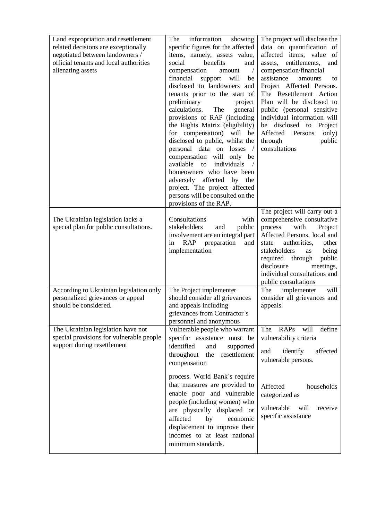| Land expropriation and resettlement<br>related decisions are exceptionally<br>negotiated between landowners /<br>official tenants and local authorities<br>alienating assets | information<br>The<br>showing<br>specific figures for the affected<br>items, namely, assets value,<br>social<br>benefits<br>and<br>compensation<br>$\sqrt{2}$<br>amount<br>financial<br>support<br>will<br>be<br>disclosed to landowners and<br>tenants prior to the start of<br>preliminary<br>project<br>calculations.<br>The<br>general<br>provisions of RAP (including<br>the Rights Matrix (eligibility)<br>for compensation) will be<br>disclosed to public, whilst the<br>personal data on<br>losses<br>$\sqrt{2}$<br>compensation<br>will<br>only be<br>available<br>individuals<br>to<br>$\sqrt{2}$<br>homeowners who have been<br>affected<br>adversely<br>by the<br>project. The project affected<br>persons will be consulted on the<br>provisions of the RAP. | The project will disclose the<br>data on quantification of<br>affected items, value of<br>assets, entitlements,<br>and<br>compensation/financial<br>assistance<br>amounts<br>to<br>Project Affected Persons.<br>The Resettlement Action<br>Plan will be disclosed to<br>public (personal sensitive<br>individual information will<br>be disclosed to Project<br>Affected<br>Persons<br>only)<br>public<br>through<br>consultations |
|------------------------------------------------------------------------------------------------------------------------------------------------------------------------------|----------------------------------------------------------------------------------------------------------------------------------------------------------------------------------------------------------------------------------------------------------------------------------------------------------------------------------------------------------------------------------------------------------------------------------------------------------------------------------------------------------------------------------------------------------------------------------------------------------------------------------------------------------------------------------------------------------------------------------------------------------------------------|------------------------------------------------------------------------------------------------------------------------------------------------------------------------------------------------------------------------------------------------------------------------------------------------------------------------------------------------------------------------------------------------------------------------------------|
| The Ukrainian legislation lacks a<br>special plan for public consultations.                                                                                                  | Consultations<br>with<br>stakeholders<br>public<br>and<br>involvement are an integral part<br><b>RAP</b><br>preparation<br>in<br>and<br>implementation                                                                                                                                                                                                                                                                                                                                                                                                                                                                                                                                                                                                                     | The project will carry out a<br>comprehensive consultative<br>process<br>with<br>Project<br>Affected Persons, local and<br>authorities,<br>other<br>state<br>stakeholders<br>being<br>as<br>required through<br>public<br>disclosure<br>meetings,<br>individual consultations and<br>public consultations                                                                                                                          |
| According to Ukrainian legislation only<br>personalized grievances or appeal<br>should be considered.                                                                        | The Project implementer<br>should consider all grievances<br>and appeals including<br>grievances from Contractor's<br>personnel and anonymous                                                                                                                                                                                                                                                                                                                                                                                                                                                                                                                                                                                                                              | The<br>implementer<br>will<br>consider all grievances and<br>appeals.                                                                                                                                                                                                                                                                                                                                                              |
| The Ukrainian legislation have not<br>special provisions for vulnerable people<br>support during resettlement                                                                | Vulnerable people who warrant<br>specific assistance must be<br>identified<br>and<br>supported<br>throughout<br>the<br>resettlement<br>compensation                                                                                                                                                                                                                                                                                                                                                                                                                                                                                                                                                                                                                        | define<br>will<br>The<br><b>RAPs</b><br>vulnerability criteria<br>and<br>identify<br>affected<br>vulnerable persons.                                                                                                                                                                                                                                                                                                               |
|                                                                                                                                                                              | process. World Bank's require<br>that measures are provided to<br>enable poor and vulnerable<br>people (including women) who<br>are physically displaced or<br>affected<br>by<br>economic<br>displacement to improve their<br>incomes to at least national<br>minimum standards.                                                                                                                                                                                                                                                                                                                                                                                                                                                                                           | Affected<br>households<br>categorized as<br>vulnerable<br>will<br>receive<br>specific assistance                                                                                                                                                                                                                                                                                                                                   |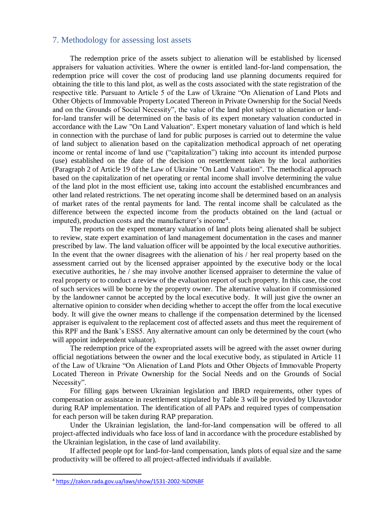### <span id="page-16-0"></span>7. Methodology for assessing lost assets

The redemption price of the assets subject to alienation will be established by licensed appraisers for valuation activities. Where the owner is entitled land-for-land compensation, the redemption price will cover the cost of producing land use planning documents required for obtaining the title to this land plot, as well as the costs associated with the state registration of the respective title. Pursuant to Article 5 of the Law of Ukraine "On Alienation of Land Plots and Other Objects of Immovable Property Located Thereon in Private Ownership for the Social Needs and on the Grounds of Social Necessity", the value of the land plot subject to alienation or landfor-land transfer will be determined on the basis of its expert monetary valuation conducted in accordance with the Law "On Land Valuation". Expert monetary valuation of land which is held in connection with the purchase of land for public purposes is carried out to determine the value of land subject to alienation based on the capitalization methodical approach of net operating income or rental income of land use ("capitalization") taking into account its intended purpose (use) established on the date of the decision on resettlement taken by the local authorities (Paragraph 2 of Article 19 of the Law of Ukraine "On Land Valuation". The methodical approach based on the capitalization of net operating or rental income shall involve determining the value of the land plot in the most efficient use, taking into account the established encumbrances and other land related restrictions. The net operating income shall be determined based on an analysis of market rates of the rental payments for land. The rental income shall be calculated as the difference between the expected income from the products obtained on the land (actual or imputed), production costs and the manufacturer's income<sup>4</sup>.

The reports on the expert monetary valuation of land plots being alienated shall be subject to review, state expert examination of land management documentation in the cases and manner prescribed by law. The land valuation officer will be appointed by the local executive authorities. In the event that the owner disagrees with the alienation of his / her real property based on the assessment carried out by the licensed appraiser appointed by the executive body or the local executive authorities, he / she may involve another licensed appraiser to determine the value of real property or to conduct a review of the evaluation report of such property. In this case, the cost of such services will be borne by the property owner. The alternative valuation if commissioned by the landowner cannot be accepted by the local executive body. It will just give the owner an alternative opinion to consider when deciding whether to accept the offer from the local executive body. It will give the owner means to challenge if the compensation determined by the licensed appraiser is equivalent to the replacement cost of affected assets and thus meet the requirement of this RPF and the Bank's ESS5. Any alternative amount can only be determined by the court (who will appoint independent valuator).

The redemption price of the expropriated assets will be agreed with the asset owner during official negotiations between the owner and the local executive body, as stipulated in Article 11 of the Law of Ukraine "On Alienation of Land Plots and Other Objects of Immovable Property Located Thereon in Private Ownership for the Social Needs and on the Grounds of Social Necessity".

For filling gaps between Ukrainian legislation and IBRD requirements, other types of compensation or assistance in resettlement stipulated by Table 3 will be provided by Ukravtodor during RAP implementation. The identification of all PAPs and required types of compensation for each person will be taken during RAP preparation.

Under the Ukrainian legislation, the land-for-land compensation will be offered to all project-affected individuals who face loss of land in accordance with the procedure established by the Ukrainian legislation, in the case of land availability.

If affected people opt for land-for-land compensation, lands plots of equal size and the same productivity will be offered to all project-affected individuals if available.

1

<sup>4</sup> [https://zakon.rada.gov.ua/laws/show/1531-2002-%D0%BF](https://zakon.rada.gov.ua/laws/show/1531-2002-п)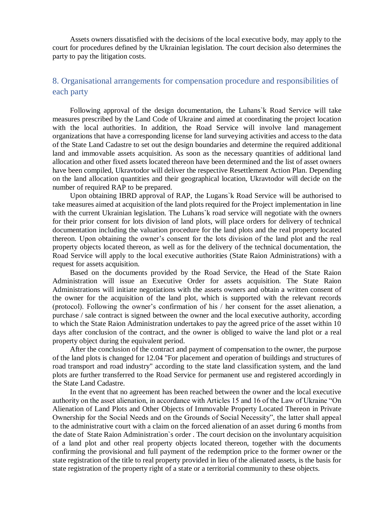Assets owners dissatisfied with the decisions of the local executive body, may apply to the court for procedures defined by the Ukrainian legislation. The court decision also determines the party to pay the litigation costs.

# <span id="page-17-0"></span>8. Organisational arrangements for compensation procedure and responsibilities of each party

Following approval of the design documentation, the Luhans`k Road Service will take measures prescribed by the Land Code of Ukraine and aimed at coordinating the project location with the local authorities. In addition, the Road Service will involve land management organizations that have a corresponding license for land surveying activities and access to the data of the State Land Cadastre to set out the design boundaries and determine the required additional land and immovable assets acquisition. As soon as the necessary quantities of additional land allocation and other fixed assets located thereon have been determined and the list of asset owners have been compiled, Ukravtodor will deliver the respective Resettlement Action Plan. Depending on the land allocation quantities and their geographical location, Ukravtodor will decide on the number of required RAP to be prepared.

Upon obtaining IBRD approval of RAP, the Lugans`k Road Service will be authorised to take measures aimed at acquisition of the land plots required for the Project implementation in line with the current Ukrainian legislation. The Luhans'k road service will negotiate with the owners for their prior consent for lots division of land plots, will place orders for delivery of technical documentation including the valuation procedure for the land plots and the real property located thereon. Upon obtaining the owner's consent for the lots division of the land plot and the real property objects located thereon, as well as for the delivery of the technical documentation, the Road Service will apply to the local executive authorities (State Raion Administrations) with a request for assets acquisition.

Based on the documents provided by the Road Service, the Head of the State Raion Administration will issue an Executive Order for assets acquisition. The State Raion Administrations will initiate negotiations with the assets owners and obtain a written consent of the owner for the acquisition of the land plot, which is supported with the relevant records (protocol). Following the owner's confirmation of his / her consent for the asset alienation, a purchase / sale contract is signed between the owner and the local executive authority, according to which the State Raion Administration undertakes to pay the agreed price of the asset within 10 days after conclusion of the contract, and the owner is obliged to waive the land plot or a real property object during the equivalent period.

After the conclusion of the contract and payment of compensation to the owner, the purpose of the land plots is changed for 12.04 "For placement and operation of buildings and structures of road transport and road industry" according to the state land classification system, and the land plots are further transferred to the Road Service for permanent use and registered accordingly in the State Land Cadastre.

In the event that no agreement has been reached between the owner and the local executive authority on the asset alienation, in accordance with Articles 15 and 16 of the Law of Ukraine "On Alienation of Land Plots and Other Objects of Immovable Property Located Thereon in Private Ownership for the Social Needs and on the Grounds of Social Necessity", the latter shall appeal to the administrative court with a claim on the forced alienation of an asset during 6 months from the date of State Raion Administration`s order . The court decision on the involuntary acquisition of a land plot and other real property objects located thereon, together with the documents confirming the provisional and full payment of the redemption price to the former owner or the state registration of the title to real property provided in lieu of the alienated assets, is the basis for state registration of the property right of a state or a territorial community to these objects.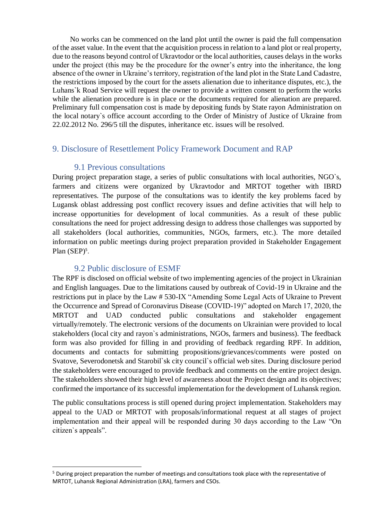No works can be commenced on the land plot until the owner is paid the full compensation of the asset value. In the event that the acquisition process in relation to a land plot or real property, due to the reasons beyond control of Ukravtodor or the local authorities, causes delays in the works under the project (this may be the procedure for the owner's entry into the inheritance, the long absence of the owner in Ukraine's territory, registration of the land plot in the State Land Cadastre, the restrictions imposed by the court for the assets alienation due to inheritance disputes, etc.), the Luhans`k Road Service will request the owner to provide a written consent to perform the works while the alienation procedure is in place or the documents required for alienation are prepared. Preliminary full compensation cost is made by depositing funds by State rayon Administration on the local notary`s office account according to the Order of Ministry of Justice of Ukraine from 22.02.2012 No. 296/5 till the disputes, inheritance etc. issues will be resolved.

# <span id="page-18-1"></span><span id="page-18-0"></span>9. Disclosure of Resettlement Policy Framework Document and RAP

### 9.1 Previous consultations

During project preparation stage, a series of public consultations with local authorities, NGO`s, farmers and citizens were organized by Ukravtodor and MRTOT together with IBRD representatives. The purpose of the consultations was to identify the key problems faced by Lugansk oblast addressing post conflict recovery issues and define activities that will help to increase opportunities for development of local communities. As a result of these public consultations the need for project addressing design to address those challenges was supported by all stakeholders (local authorities, communities, NGOs, farmers, etc.). The more detailed information on public meetings during project preparation provided in Stakeholder Engagement Plan (SEP)<sup>5</sup>.

# 9.2 Public disclosure of ESMF

 $\overline{a}$ 

<span id="page-18-2"></span>The RPF is disclosed on official website of two implementing agencies of the project in Ukrainian and English languages. Due to the limitations caused by outbreak of Covid-19 in Ukraine and the restrictions put in place by the Law # 530-IX "Amending Some Legal Acts of Ukraine to Prevent the Occurrence and Spread of Coronavirus Disease (COVID-19)" adopted on March 17, 2020, the MRTOT and UAD conducted public consultations and stakeholder engagement virtually/remotely. The electronic versions of the documents on Ukrainian were provided to local stakeholders (local city and rayon`s administrations, NGOs, farmers and business). The feedback form was also provided for filling in and providing of feedback regarding RPF. In addition, documents and contacts for submitting propositions/grievances/comments were posted on Svatove, Severodonetsk and Starobil`sk city council`s official web sites. During disclosure period the stakeholders were encouraged to provide feedback and comments on the entire project design. The stakeholders showed their high level of awareness about the Project design and its objectives; confirmed the importance of its successful implementation for the development of Luhansk region.

The public consultations process is still opened during project implementation. Stakeholders may appeal to the UAD or MRTOT with proposals/informational request at all stages of project implementation and their appeal will be responded during 30 days according to the Law "On citizen`s appeals".

<sup>&</sup>lt;sup>5</sup> During project preparation the number of meetings and consultations took place with the representative of MRTOT, Luhansk Regional Administration (LRA), farmers and CSOs.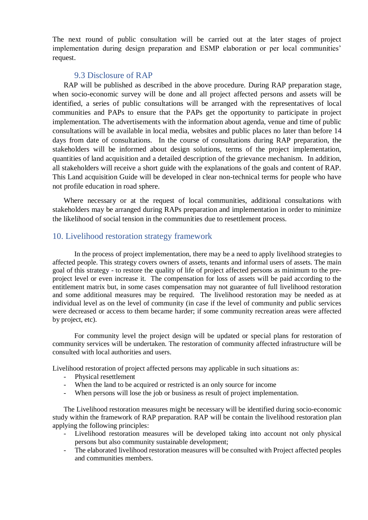The next round of public consultation will be carried out at the later stages of project implementation during design preparation and ESMP elaboration or per local communities' request.

### 9.3 Disclosure of RAP

<span id="page-19-0"></span>RAP will be published as described in the above procedure. During RAP preparation stage, when socio-economic survey will be done and all project affected persons and assets will be identified, a series of public consultations will be arranged with the representatives of local communities and PAPs to ensure that the PAPs get the opportunity to participate in project implementation. The advertisements with the information about agenda, venue and time of public consultations will be available in local media, websites and public places no later than before 14 days from date of consultations. In the course of consultations during RAP preparation, the stakeholders will be informed about design solutions, terms of the project implementation, quantities of land acquisition and a detailed description of the grievance mechanism. In addition, all stakeholders will receive a short guide with the explanations of the goals and content of RAP. This Land acquisition Guide will be developed in clear non-technical terms for people who have not profile education in road sphere.

Where necessary or at the request of local communities, additional consultations with stakeholders may be arranged during RAPs preparation and implementation in order to minimize the likelihood of social tension in the communities due to resettlement process.

### <span id="page-19-1"></span>10. Livelihood restoration strategy framework

In the process of project implementation, there may be a need to apply livelihood strategies to affected people. This strategy covers owners of assets, tenants and informal users of assets. The main goal of this strategy - to restore the quality of life of project affected persons as minimum to the preproject level or even increase it. The compensation for loss of assets will be paid according to the entitlement matrix but, in some cases compensation may not guarantee of full livelihood restoration and some additional measures may be required. The livelihood restoration may be needed as at individual level as on the level of community (in case if the level of community and public services were decreased or access to them became harder; if some community recreation areas were affected by project, etc).

For community level the project design will be updated or special plans for restoration of community services will be undertaken. The restoration of community affected infrastructure will be consulted with local authorities and users.

Livelihood restoration of project affected persons may applicable in such situations as:

- Physical resettlement
- When the land to be acquired or restricted is an only source for income
- When persons will lose the job or business as result of project implementation.

The Livelihood restoration measures might be necessary will be identified during socio-economic study within the framework of RAP preparation. RAP will be contain the livelihood restoration plan applying the following principles:

- Livelihood restoration measures will be developed taking into account not only physical persons but also community sustainable development;
- The elaborated livelihood restoration measures will be consulted with Project affected peoples and communities members.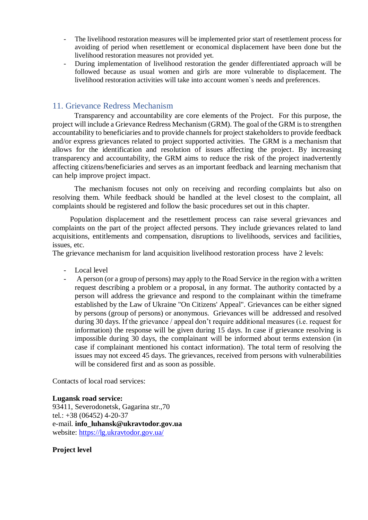- The livelihood restoration measures will be implemented prior start of resettlement process for avoiding of period when resettlement or economical displacement have been done but the livelihood restoration measures not provided yet.
- During implementation of livelihood restoration the gender differentiated approach will be followed because as usual women and girls are more vulnerable to displacement. The livelihood restoration activities will take into account women`s needs and preferences.

## <span id="page-20-0"></span>11. Grievance Redress Mechanism

Transparency and accountability are core elements of the Project. For this purpose, the project will include a Grievance Redress Mechanism (GRM). The goal of the GRM is to strengthen accountability to beneficiaries and to provide channels for project stakeholders to provide feedback and/or express grievances related to project supported activities. The GRM is a mechanism that allows for the identification and resolution of issues affecting the project. By increasing transparency and accountability, the GRM aims to reduce the risk of the project inadvertently affecting citizens/beneficiaries and serves as an important feedback and learning mechanism that can help improve project impact.

The mechanism focuses not only on receiving and recording complaints but also on resolving them. While feedback should be handled at the level closest to the complaint, all complaints should be registered and follow the basic procedures set out in this chapter.

Population displacement and the resettlement process can raise several grievances and complaints on the part of the project affected persons. They include grievances related to land acquisitions, entitlements and compensation, disruptions to livelihoods, services and facilities, issues, etc.

The grievance mechanism for land acquisition livelihood restoration process have 2 levels:

- Local level
- A person (or a group of persons) may apply to the Road Service in the region with a written request describing a problem or a proposal, in any format. The authority contacted by a person will address the grievance and respond to the complainant within the timeframe established by the Law of Ukraine "On Citizens' Appeal". Grievances can be either signed by persons (group of persons) or anonymous. Grievances will be addressed and resolved during 30 days. If the grievance / appeal don't require additional measures (i.e. request for information) the response will be given during 15 days. In case if grievance resolving is impossible during 30 days, the complainant will be informed about terms extension (in case if complainant mentioned his contact information). The total term of resolving the issues may not exceed 45 days. The grievances, received from persons with vulnerabilities will be considered first and as soon as possible.

Contacts of local road services:

#### **Lugansk road service:**

93411, Severodonetsk, Gagarina str.,70 tel.: +38 (06452) 4-20-37 e-mail. **info\_luhansk@ukravtodor.gov.ua** website:<https://lg.ukravtodor.gov.ua/>

#### **Project level**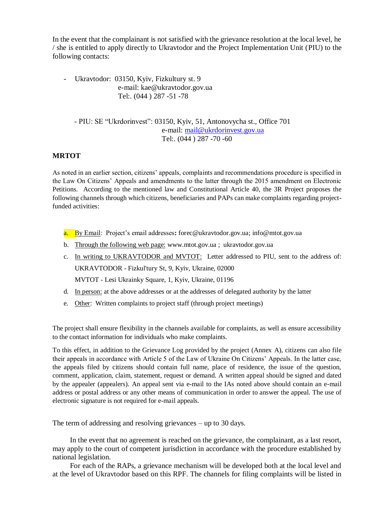In the event that the complainant is not satisfied with the grievance resolution at the local level, he / she is entitled to apply directly to Ukravtodor and the Project Implementation Unit (PIU) to the following contacts:

Ukravtodor: 03150, Kyiv, Fizkultury st. 9 e-mail: [kae@ukravtodor.gov.ua](mailto:kae@ukravtodor.gov.ua) Tel:. (044 ) 287 -51 -78

- PIU: SE "Ukrdorinvest": 03150, Kyiv, 51, Antonovycha st., Office 701 e-mail: [mail@ukrdorinvest.gov.ua](mailto:mail@ukrdorinvest.gov.ua) Tel:. (044 ) 287 -70 -60

### **MRTOT**

As noted in an earlier section, citizens' appeals, complaints and recommendations procedure is specified in the Law On Citizens' Appeals and amendments to the latter through the 2015 amendment on Electronic Petitions. According to the mentioned law and Constitutional Article 40, the 3R Project proposes the following channels through which citizens, beneficiaries and PAPs can make complaints regarding projectfunded activities:

- a. By Email: Project's email addresses**:** [forec@ukravtodor.gov.ua;](mailto:forec@ukravtodor.gov.ua) info@mtot.gov.ua
- b. Through the following web page: www.mtot.gov.ua ; ukravtodor.gov.ua
- c. In writing to UKRAVTODOR and MVTOT: Letter addressed to PIU, sent to the address of: UKRAVTODOR - Fizkul'tury St, 9, Kyiv, Ukraine, 02000 MVTOT - Lesi Ukrainky Square, 1, Kyiv, Ukraine, 01196
- d. In person: at the above addresses or at the addresses of delegated authority by the latter
- e. Other: Written complaints to project staff (through project meetings)

The project shall ensure flexibility in the channels available for complaints, as well as ensure accessibility to the contact information for individuals who make complaints.

To this effect, in addition to the Grievance Log provided by the project (Annex A), citizens can also file their appeals in accordance with Article 5 of the Law of Ukraine On Citizens' Appeals. In the latter case, the appeals filed by citizens should contain full name, place of residence, the issue of the question, comment, application, claim, statement, request or demand. A written appeal should be signed and dated by the appealer (appealers). An appeal sent via e-mail to the IAs noted above should contain an e-mail address or postal address or any other means of communication in order to answer the appeal. The use of electronic signature is not required for e-mail appeals.

The term of addressing and resolving grievances – up to 30 days.

In the event that no agreement is reached on the grievance, the complainant, as a last resort, may apply to the court of competent jurisdiction in accordance with the procedure established by national legislation.

For each of the RAPs, a grievance mechanism will be developed both at the local level and at the level of Ukravtodor based on this RPF. The channels for filing complaints will be listed in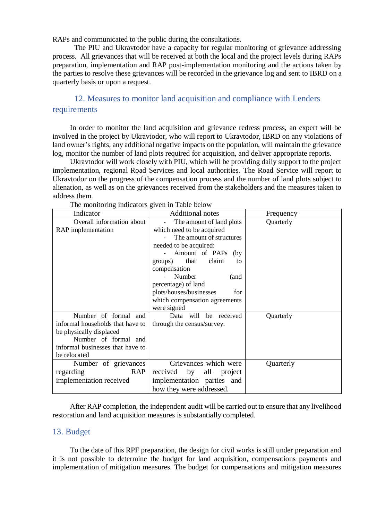RAPs and communicated to the public during the consultations.

The PIU and Ukravtodor have a capacity for regular monitoring of grievance addressing process. All grievances that will be received at both the local and the project levels during RAPs preparation, implementation and RAP post-implementation monitoring and the actions taken by the parties to resolve these grievances will be recorded in the grievance log and sent to IBRD on a quarterly basis or upon a request.

<span id="page-22-0"></span>12. Measures to monitor land acquisition and compliance with Lenders requirements

In order to monitor the land acquisition and grievance redress process, an expert will be involved in the project by Ukravtodor, who will report to Ukravtodor, IBRD on any violations of land owner's rights, any additional negative impacts on the population, will maintain the grievance log, monitor the number of land plots required for acquisition, and deliver appropriate reports.

Ukravtodor will work closely with PIU, which will be providing daily support to the project implementation, regional Road Services and local authorities. The Road Service will report to Ukravtodor on the progress of the compensation process and the number of land plots subject to alienation, as well as on the grievances received from the stakeholders and the measures taken to address them.

| Indicator                        | <b>Additional notes</b>        | Frequency |
|----------------------------------|--------------------------------|-----------|
| Overall information about        | The amount of land plots       | Quarterly |
| RAP implementation               | which need to be acquired      |           |
|                                  | The amount of structures       |           |
|                                  | needed to be acquired:         |           |
|                                  | Amount of PAPs (by             |           |
|                                  | that<br>claim<br>groups)<br>to |           |
|                                  | compensation                   |           |
|                                  | Number<br>(and                 |           |
|                                  | percentage) of land            |           |
|                                  | plots/houses/businesses<br>for |           |
|                                  | which compensation agreements  |           |
|                                  | were signed                    |           |
| Number of formal and             | Data will be received          | Quarterly |
| informal households that have to | through the census/survey.     |           |
| be physically displaced          |                                |           |
| Number of formal and             |                                |           |
| informal businesses that have to |                                |           |
| be relocated                     |                                |           |
| Number of grievances             | Grievances which were          | Quarterly |
| <b>RAP</b><br>regarding          | received by<br>all<br>project  |           |
| implementation received          | implementation parties and     |           |
|                                  | how they were addressed.       |           |

The monitoring indicators given in Table below

After RAP completion, the independent audit will be carried out to ensure that any livelihood restoration and land acquisition measures is substantially completed.

#### <span id="page-22-1"></span>13. Budget

To the date of this RPF preparation, the design for civil works is still under preparation and it is not possible to determine the budget for land acquisition, compensations payments and implementation of mitigation measures. The budget for compensations and mitigation measures